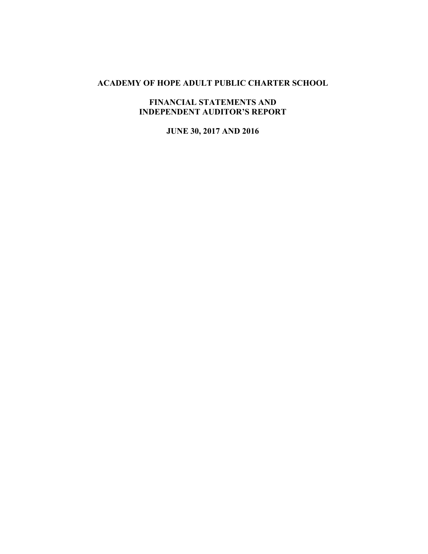# **ACADEMY OF HOPE ADULT PUBLIC CHARTER SCHOOL**

# **FINANCIAL STATEMENTS AND INDEPENDENT AUDITOR'S REPORT**

**JUNE 30, 2017 AND 2016**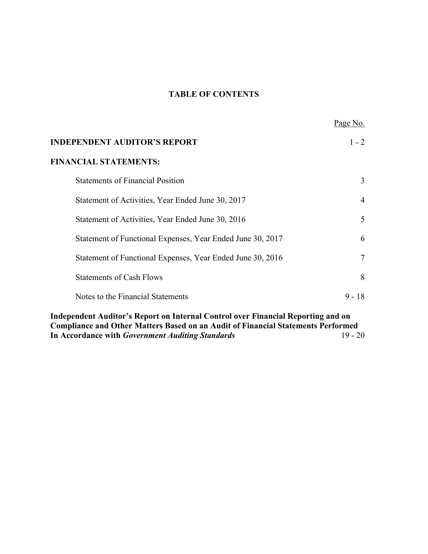### **TABLE OF CONTENTS**

|                                                            | Page No.       |
|------------------------------------------------------------|----------------|
| <b>INDEPENDENT AUDITOR'S REPORT</b>                        | $1 - 2$        |
| <b>FINANCIAL STATEMENTS:</b>                               |                |
| <b>Statements of Financial Position</b>                    | 3              |
| Statement of Activities, Year Ended June 30, 2017          | $\overline{4}$ |
| Statement of Activities, Year Ended June 30, 2016          | 5              |
| Statement of Functional Expenses, Year Ended June 30, 2017 | 6              |
| Statement of Functional Expenses, Year Ended June 30, 2016 | $\tau$         |
| <b>Statements of Cash Flows</b>                            | 8              |
| Notes to the Financial Statements                          | $9 - 18$       |
|                                                            |                |

**Independent Auditor's Report on Internal Control over Financial Reporting and on Compliance and Other Matters Based on an Audit of Financial Statements Performed In Accordance with** *Government Auditing Standards* **19 - 20**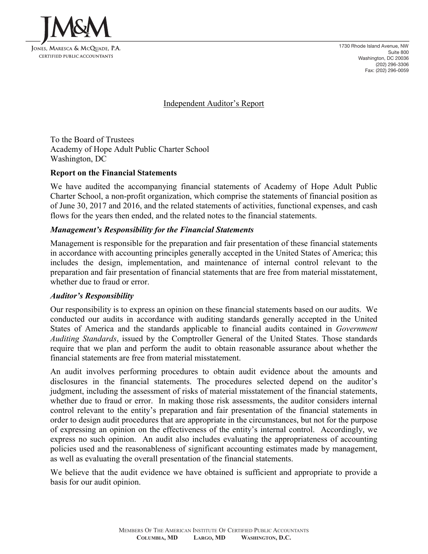

1730 Rhode Island Avenue, NW Suite 800 Washington, DC 20036 (202) 296-3306 Fax: (202) 296-0059

Independent Auditor's Report

To the Board of Trustees Academy of Hope Adult Public Charter School Washington, DC

### **Report on the Financial Statements**

We have audited the accompanying financial statements of Academy of Hope Adult Public Charter School, a non-profit organization, which comprise the statements of financial position as of June 30, 2017 and 2016, and the related statements of activities, functional expenses, and cash flows for the years then ended, and the related notes to the financial statements.

#### *Management's Responsibility for the Financial Statements*

Management is responsible for the preparation and fair presentation of these financial statements in accordance with accounting principles generally accepted in the United States of America; this includes the design, implementation, and maintenance of internal control relevant to the preparation and fair presentation of financial statements that are free from material misstatement, whether due to fraud or error.

#### *Auditor's Responsibility*

Our responsibility is to express an opinion on these financial statements based on our audits. We conducted our audits in accordance with auditing standards generally accepted in the United States of America and the standards applicable to financial audits contained in *Government Auditing Standards*, issued by the Comptroller General of the United States. Those standards require that we plan and perform the audit to obtain reasonable assurance about whether the financial statements are free from material misstatement.

An audit involves performing procedures to obtain audit evidence about the amounts and disclosures in the financial statements. The procedures selected depend on the auditor's judgment, including the assessment of risks of material misstatement of the financial statements, whether due to fraud or error. In making those risk assessments, the auditor considers internal control relevant to the entity's preparation and fair presentation of the financial statements in order to design audit procedures that are appropriate in the circumstances, but not for the purpose of expressing an opinion on the effectiveness of the entity's internal control. Accordingly, we express no such opinion. An audit also includes evaluating the appropriateness of accounting policies used and the reasonableness of significant accounting estimates made by management, as well as evaluating the overall presentation of the financial statements.

We believe that the audit evidence we have obtained is sufficient and appropriate to provide a basis for our audit opinion.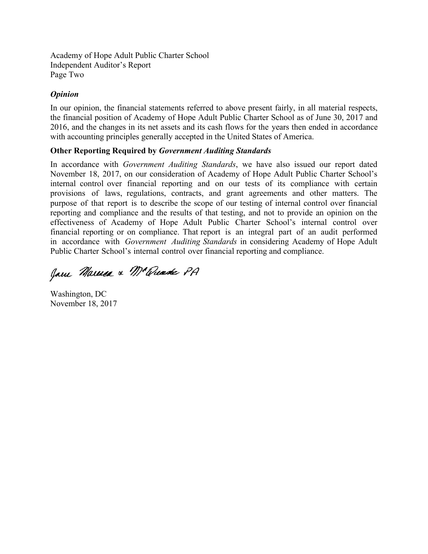Academy of Hope Adult Public Charter School Independent Auditor's Report Page Two

# *Opinion*

In our opinion, the financial statements referred to above present fairly, in all material respects, the financial position of Academy of Hope Adult Public Charter School as of June 30, 2017 and 2016, and the changes in its net assets and its cash flows for the years then ended in accordance with accounting principles generally accepted in the United States of America.

## **Other Reporting Required by** *Government Auditing Standards*

In accordance with *Government Auditing Standards*, we have also issued our report dated November 18, 2017, on our consideration of Academy of Hope Adult Public Charter School's internal control over financial reporting and on our tests of its compliance with certain provisions of laws, regulations, contracts, and grant agreements and other matters. The purpose of that report is to describe the scope of our testing of internal control over financial reporting and compliance and the results of that testing, and not to provide an opinion on the effectiveness of Academy of Hope Adult Public Charter School's internal control over financial reporting or on compliance. That report is an integral part of an audit performed in accordance with *Government Auditing Standards* in considering Academy of Hope Adult Public Charter School's internal control over financial reporting and compliance.

Jam Marie & Ma Quade PA

Washington, DC November 18, 2017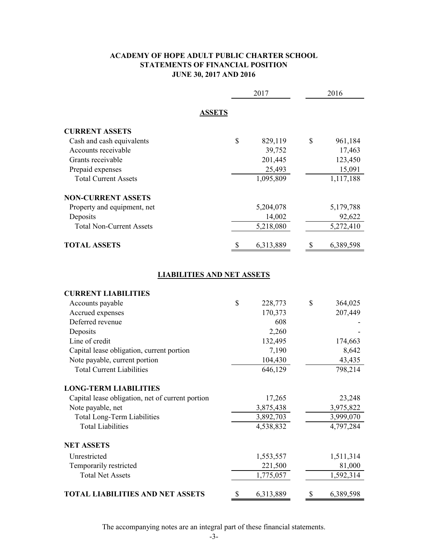### **ACADEMY OF HOPE ADULT PUBLIC CHARTER SCHOOL STATEMENTS OF FINANCIAL POSITION JUNE 30, 2017 AND 2016**

|                                 |               | 2017 |           | 2016 |           |
|---------------------------------|---------------|------|-----------|------|-----------|
|                                 | <b>ASSETS</b> |      |           |      |           |
| <b>CURRENT ASSETS</b>           |               |      |           |      |           |
| Cash and cash equivalents       |               | \$   | 829,119   | \$   | 961,184   |
| Accounts receivable             |               |      | 39,752    |      | 17,463    |
| Grants receivable               |               |      | 201,445   |      | 123,450   |
| Prepaid expenses                |               |      | 25,493    |      | 15,091    |
| <b>Total Current Assets</b>     |               |      | 1,095,809 |      | 1,117,188 |
| <b>NON-CURRENT ASSETS</b>       |               |      |           |      |           |
| Property and equipment, net     |               |      | 5,204,078 |      | 5,179,788 |
| Deposits                        |               |      | 14,002    |      | 92,622    |
| <b>Total Non-Current Assets</b> |               |      | 5,218,080 |      | 5,272,410 |
| <b>TOTAL ASSETS</b>             |               | S    | 6,313,889 |      | 6,389,598 |
|                                 |               |      |           |      |           |

# **LIABILITIES AND NET ASSETS**

| <b>CURRENT LIABILITIES</b>                       |              |           |    |           |
|--------------------------------------------------|--------------|-----------|----|-----------|
| Accounts payable                                 | $\mathbb{S}$ | 228,773   | \$ | 364,025   |
| Accrued expenses                                 |              | 170,373   |    | 207,449   |
| Deferred revenue                                 |              | 608       |    |           |
| Deposits                                         |              | 2,260     |    |           |
| Line of credit                                   |              | 132,495   |    | 174,663   |
| Capital lease obligation, current portion        |              | 7,190     |    | 8,642     |
| Note payable, current portion                    |              | 104,430   |    | 43,435    |
| <b>Total Current Liabilities</b>                 |              | 646,129   |    | 798,214   |
| <b>LONG-TERM LIABILITIES</b>                     |              |           |    |           |
| Capital lease obligation, net of current portion |              | 17,265    |    | 23,248    |
| Note payable, net                                |              | 3,875,438 |    | 3,975,822 |
| Total Long-Term Liabilities                      |              | 3,892,703 |    | 3,999,070 |
| <b>Total Liabilities</b>                         |              | 4,538,832 |    | 4,797,284 |
| <b>NET ASSETS</b>                                |              |           |    |           |
| Unrestricted                                     |              | 1,553,557 |    | 1,511,314 |
| Temporarily restricted                           |              | 221,500   |    | 81,000    |
| <b>Total Net Assets</b>                          |              | 1,775,057 |    | 1,592,314 |
| <b>TOTAL LIABILITIES AND NET ASSETS</b>          | \$           | 6,313,889 | S  | 6,389,598 |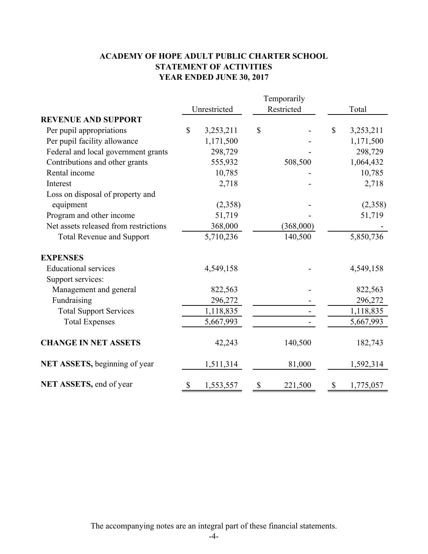# **ACADEMY OF HOPE ADULT PUBLIC CHARTER SCHOOL STATEMENT OF ACTIVITIES YEAR ENDED JUNE 30, 2017**

|                                       |              |              |               | Temporarily |                 |
|---------------------------------------|--------------|--------------|---------------|-------------|-----------------|
|                                       |              | Unrestricted |               | Restricted  | Total           |
| <b>REVENUE AND SUPPORT</b>            |              |              |               |             |                 |
| Per pupil appropriations              | $\mathbb{S}$ | 3,253,211    | $\mathcal{S}$ |             | \$<br>3,253,211 |
| Per pupil facility allowance          |              | 1,171,500    |               |             | 1,171,500       |
| Federal and local government grants   |              | 298,729      |               |             | 298,729         |
| Contributions and other grants        |              | 555,932      |               | 508,500     | 1,064,432       |
| Rental income                         |              | 10,785       |               |             | 10,785          |
| Interest                              |              | 2,718        |               |             | 2,718           |
| Loss on disposal of property and      |              |              |               |             |                 |
| equipment                             |              | (2,358)      |               |             | (2,358)         |
| Program and other income              |              | 51,719       |               |             | 51,719          |
| Net assets released from restrictions |              | 368,000      |               | (368,000)   |                 |
| <b>Total Revenue and Support</b>      |              | 5,710,236    |               | 140,500     | 5,850,736       |
| <b>EXPENSES</b>                       |              |              |               |             |                 |
| <b>Educational services</b>           |              | 4,549,158    |               |             | 4,549,158       |
| Support services:                     |              |              |               |             |                 |
| Management and general                |              | 822,563      |               |             | 822,563         |
| Fundraising                           |              | 296,272      |               |             | 296,272         |
| <b>Total Support Services</b>         |              | 1,118,835    |               |             | 1,118,835       |
| <b>Total Expenses</b>                 |              | 5,667,993    |               |             | 5,667,993       |
| <b>CHANGE IN NET ASSETS</b>           |              | 42,243       |               | 140,500     | 182,743         |
| NET ASSETS, beginning of year         |              | 1,511,314    |               | 81,000      | 1,592,314       |
| NET ASSETS, end of year               | \$           | 1,553,557    | \$            | 221,500     | \$<br>1,775,057 |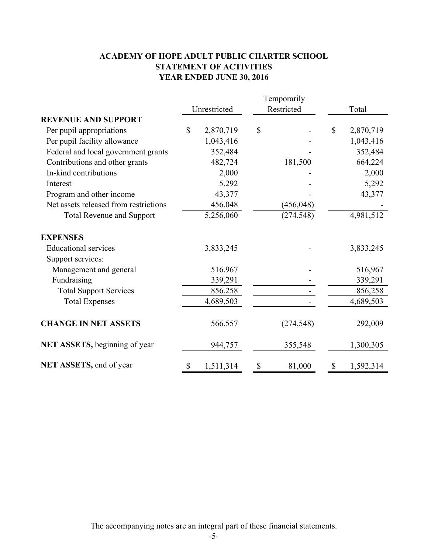# **ACADEMY OF HOPE ADULT PUBLIC CHARTER SCHOOL STATEMENT OF ACTIVITIES YEAR ENDED JUNE 30, 2016**

|                                       | Temporarily  |           |              |            |              |           |
|---------------------------------------|--------------|-----------|--------------|------------|--------------|-----------|
|                                       | Unrestricted |           |              | Restricted | Total        |           |
| <b>REVENUE AND SUPPORT</b>            |              |           |              |            |              |           |
| Per pupil appropriations              | $\mathbf S$  | 2,870,719 | $\mathbb{S}$ |            | $\mathbb{S}$ | 2,870,719 |
| Per pupil facility allowance          |              | 1,043,416 |              |            |              | 1,043,416 |
| Federal and local government grants   |              | 352,484   |              |            |              | 352,484   |
| Contributions and other grants        |              | 482,724   |              | 181,500    |              | 664,224   |
| In-kind contributions                 |              | 2,000     |              |            |              | 2,000     |
| Interest                              |              | 5,292     |              |            |              | 5,292     |
| Program and other income              |              | 43,377    |              |            |              | 43,377    |
| Net assets released from restrictions |              | 456,048   |              | (456, 048) |              |           |
| <b>Total Revenue and Support</b>      |              | 5,256,060 |              | (274, 548) |              | 4,981,512 |
| <b>EXPENSES</b>                       |              |           |              |            |              |           |
| <b>Educational services</b>           |              | 3,833,245 |              |            |              | 3,833,245 |
| Support services:                     |              |           |              |            |              |           |
| Management and general                |              | 516,967   |              |            |              | 516,967   |
| Fundraising                           |              | 339,291   |              |            |              | 339,291   |
| <b>Total Support Services</b>         |              | 856,258   |              |            |              | 856,258   |
| <b>Total Expenses</b>                 |              | 4,689,503 |              |            |              | 4,689,503 |
| <b>CHANGE IN NET ASSETS</b>           |              | 566,557   |              | (274, 548) |              | 292,009   |
| NET ASSETS, beginning of year         |              | 944,757   |              | 355,548    |              | 1,300,305 |
| NET ASSETS, end of year               | \$           | 1,511,314 | \$           | 81,000     | \$           | 1,592,314 |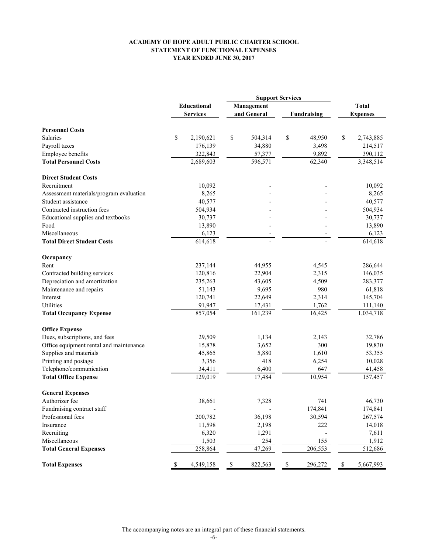#### **ACADEMY OF HOPE ADULT PUBLIC CHARTER SCHOOL STATEMENT OF FUNCTIONAL EXPENSES YEAR ENDED JUNE 30, 2017**

|                                         | <b>Support Services</b> |                 |             |         |                    |         |                 |           |
|-----------------------------------------|-------------------------|-----------------|-------------|---------|--------------------|---------|-----------------|-----------|
|                                         | <b>Educational</b>      |                 | Management  |         |                    |         | <b>Total</b>    |           |
|                                         |                         | <b>Services</b> | and General |         | <b>Fundraising</b> |         | <b>Expenses</b> |           |
| <b>Personnel Costs</b>                  |                         |                 |             |         |                    |         |                 |           |
| <b>Salaries</b>                         | \$                      | 2,190,621       | \$          | 504,314 | \$                 | 48,950  | \$              | 2,743,885 |
| Payroll taxes                           |                         | 176,139         |             | 34,880  |                    | 3,498   |                 | 214,517   |
| Employee benefits                       |                         | 322,843         |             | 57,377  |                    | 9,892   |                 | 390,112   |
| <b>Total Personnel Costs</b>            |                         | 2,689,603       |             | 596,571 |                    | 62,340  |                 | 3,348,514 |
|                                         |                         |                 |             |         |                    |         |                 |           |
| <b>Direct Student Costs</b>             |                         |                 |             |         |                    |         |                 |           |
| Recruitment                             |                         | 10,092          |             |         |                    |         |                 | 10,092    |
| Assessment materials/program evaluation |                         | 8,265           |             |         |                    |         |                 | 8,265     |
| Student assistance                      |                         | 40,577          |             |         |                    |         |                 | 40,577    |
| Contracted instruction fees             |                         | 504,934         |             |         |                    |         |                 | 504,934   |
| Educational supplies and textbooks      |                         | 30,737          |             |         |                    |         |                 | 30,737    |
| Food                                    |                         | 13,890          |             |         |                    |         |                 | 13,890    |
| Miscellaneous                           |                         | 6,123           |             |         |                    |         |                 | 6,123     |
| <b>Total Direct Student Costs</b>       |                         | 614,618         |             |         |                    |         |                 | 614,618   |
| Occupancy                               |                         |                 |             |         |                    |         |                 |           |
| Rent                                    |                         | 237,144         |             | 44,955  |                    | 4,545   |                 | 286,644   |
| Contracted building services            |                         | 120,816         |             | 22,904  |                    | 2,315   |                 | 146,035   |
| Depreciation and amortization           |                         | 235,263         |             | 43,605  |                    | 4,509   |                 | 283,377   |
| Maintenance and repairs                 |                         | 51,143          |             | 9,695   |                    | 980     |                 | 61,818    |
| Interest                                |                         | 120,741         |             | 22,649  |                    | 2,314   |                 | 145,704   |
| <b>Utilities</b>                        |                         | 91,947          |             | 17,431  |                    | 1,762   |                 | 111,140   |
| <b>Total Occupancy Expense</b>          |                         | 857,054         |             | 161,239 |                    | 16,425  |                 | 1,034,718 |
| <b>Office Expense</b>                   |                         |                 |             |         |                    |         |                 |           |
| Dues, subscriptions, and fees           |                         | 29,509          |             | 1,134   |                    | 2,143   |                 | 32,786    |
| Office equipment rental and maintenance |                         | 15,878          |             | 3,652   |                    | 300     |                 | 19,830    |
| Supplies and materials                  |                         | 45,865          |             | 5,880   |                    | 1,610   |                 | 53,355    |
| Printing and postage                    |                         | 3,356           |             | 418     |                    | 6,254   |                 | 10,028    |
| Telephone/communication                 |                         | 34,411          |             | 6,400   |                    | 647     |                 | 41,458    |
| <b>Total Office Expense</b>             |                         | 129,019         |             | 17,484  |                    | 10,954  |                 | 157,457   |
| <b>General Expenses</b>                 |                         |                 |             |         |                    |         |                 |           |
| Authorizer fee                          |                         | 38,661          |             | 7,328   |                    | 741     |                 | 46,730    |
| Fundraising contract staff              |                         |                 |             |         |                    | 174,841 |                 | 174,841   |
| Professional fees                       |                         | 200,782         |             | 36,198  |                    | 30,594  |                 | 267,574   |
| Insurance                               |                         | 11,598          |             | 2,198   |                    | 222     |                 | 14,018    |
| Recruiting                              |                         | 6,320           |             | 1,291   |                    |         |                 | 7,611     |
| Miscellaneous                           |                         |                 |             | 254     |                    | 155     |                 |           |
| <b>Total General Expenses</b>           |                         | 1,503           |             |         |                    |         |                 | 1,912     |
|                                         |                         | 258,864         |             | 47,269  |                    | 206,553 |                 | 512,686   |
| <b>Total Expenses</b>                   | $\$$                    | 4,549,158       | \$          | 822,563 | $\mathbb S$        | 296,272 | \$              | 5,667,993 |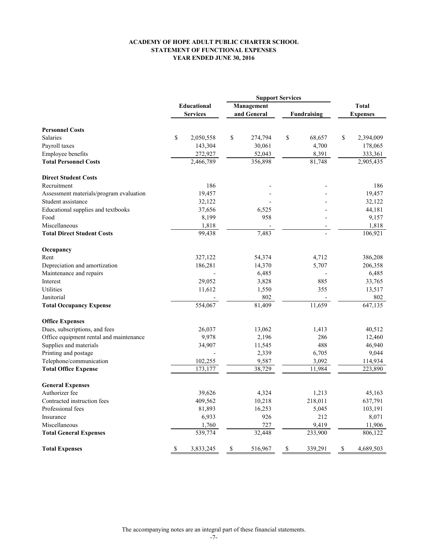#### **ACADEMY OF HOPE ADULT PUBLIC CHARTER SCHOOL STATEMENT OF FUNCTIONAL EXPENSES YEAR ENDED JUNE 30, 2016**

|                                         | Educational     | Management    | <b>Support Services</b>  | <b>Total</b>    |
|-----------------------------------------|-----------------|---------------|--------------------------|-----------------|
|                                         | <b>Services</b> | and General   | Fundraising              | <b>Expenses</b> |
|                                         |                 |               |                          |                 |
| <b>Personnel Costs</b>                  |                 |               |                          |                 |
| <b>Salaries</b>                         | \$<br>2,050,558 | \$<br>274,794 | \$<br>68,657             | \$<br>2,394,009 |
| Payroll taxes                           | 143,304         | 30,061        | 4,700                    | 178,065         |
| Employee benefits                       | 272,927         | 52,043        | 8,391                    | 333,361         |
| <b>Total Personnel Costs</b>            | 2,466,789       | 356,898       | 81,748                   | 2,905,435       |
| <b>Direct Student Costs</b>             |                 |               |                          |                 |
| Recruitment                             | 186             |               |                          | 186             |
| Assessment materials/program evaluation | 19,457          |               |                          | 19,457          |
| Student assistance                      | 32,122          |               |                          | 32,122          |
| Educational supplies and textbooks      | 37,656          | 6,525         |                          | 44,181          |
| Food                                    | 8,199           | 958           |                          | 9,157           |
| Miscellaneous                           | 1,818           |               | $\overline{\phantom{0}}$ | 1,818           |
| <b>Total Direct Student Costs</b>       | 99,438          | 7,483         |                          | 106,921         |
| Occupancy                               |                 |               |                          |                 |
| Rent                                    | 327,122         | 54,374        | 4,712                    | 386,208         |
| Depreciation and amortization           | 186,281         | 14,370        | 5,707                    | 206,358         |
| Maintenance and repairs                 |                 | 6,485         |                          | 6,485           |
| Interest                                | 29,052          | 3,828         | 885                      | 33,765          |
| Utilities                               | 11,612          | 1,550         | 355                      | 13,517          |
| Janitorial                              |                 | 802           |                          | 802             |
| <b>Total Occupancy Expense</b>          | 554,067         | 81,409        | 11,659                   | 647,135         |
| <b>Office Expenses</b>                  |                 |               |                          |                 |
| Dues, subscriptions, and fees           | 26,037          | 13,062        | 1,413                    | 40,512          |
| Office equipment rental and maintenance | 9,978           | 2,196         | 286                      | 12,460          |
| Supplies and materials                  | 34,907          | 11,545        | 488                      | 46,940          |
| Printing and postage                    |                 | 2,339         | 6,705                    | 9,044           |
| Telephone/communication                 | 102,255         | 9,587         | 3,092                    | 114,934         |
| <b>Total Office Expense</b>             | 173,177         | 38,729        | 11,984                   | 223,890         |
|                                         |                 |               |                          |                 |
| <b>General Expenses</b>                 |                 |               |                          |                 |
| Authorizer fee                          | 39,626          | 4,324         | 1,213                    | 45,163          |
| Contracted instruction fees             | 409,562         | 10,218        | 218,011                  | 637,791         |
| Professional fees                       | 81,893          | 16,253        | 5,045                    | 103,191         |
| Insurance                               | 6,933           | 926           | 212                      | 8,071           |
| Miscellaneous                           | 1,760           | 727           | 9,419                    | 11,906          |
| <b>Total General Expenses</b>           | 539,774         | 32,448        | 233,900                  | 806,122         |
| <b>Total Expenses</b>                   | \$<br>3,833,245 | \$<br>516,967 | \$<br>339,291            | \$<br>4,689,503 |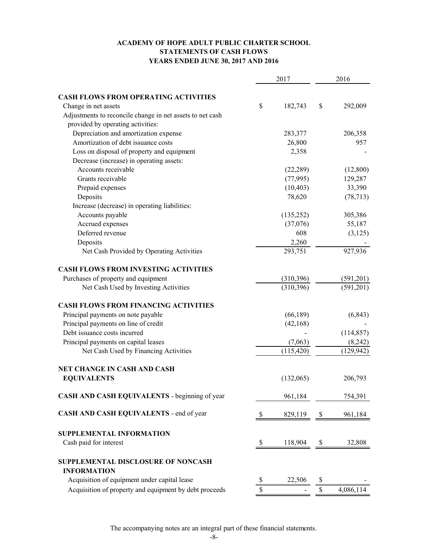#### **ACADEMY OF HOPE ADULT PUBLIC CHARTER SCHOOL STATEMENTS OF CASH FLOWS YEARS ENDED JUNE 30, 2017 AND 2016**

|                                                           |               | 2017       |              | 2016       |
|-----------------------------------------------------------|---------------|------------|--------------|------------|
| <b>CASH FLOWS FROM OPERATING ACTIVITIES</b>               |               |            |              |            |
| Change in net assets                                      | $\mathsf{\$}$ | 182,743    | \$           | 292,009    |
| Adjustments to reconcile change in net assets to net cash |               |            |              |            |
| provided by operating activities:                         |               |            |              |            |
| Depreciation and amortization expense                     |               | 283,377    |              | 206,358    |
| Amortization of debt issuance costs                       |               | 26,800     |              | 957        |
| Loss on disposal of property and equipment                |               | 2,358      |              |            |
| Decrease (increase) in operating assets:                  |               |            |              |            |
| Accounts receivable                                       |               | (22, 289)  |              | (12,800)   |
| Grants receivable                                         |               | (77, 995)  |              | 129,287    |
| Prepaid expenses                                          |               | (10, 403)  |              | 33,390     |
| Deposits                                                  |               | 78,620     |              | (78, 713)  |
| Increase (decrease) in operating liabilities:             |               |            |              |            |
| Accounts payable                                          |               | (135, 252) |              | 305,386    |
| Accrued expenses                                          |               | (37,076)   |              | 55,187     |
| Deferred revenue                                          |               | 608        |              | (3, 125)   |
| Deposits                                                  |               | 2,260      |              |            |
| Net Cash Provided by Operating Activities                 |               | 293,751    |              | 927,936    |
| <b>CASH FLOWS FROM INVESTING ACTIVITIES</b>               |               |            |              |            |
| Purchases of property and equipment                       |               | (310, 396) |              | (591,201)  |
| Net Cash Used by Investing Activities                     |               | (310, 396) |              | (591,201)  |
| <b>CASH FLOWS FROM FINANCING ACTIVITIES</b>               |               |            |              |            |
| Principal payments on note payable                        |               | (66, 189)  |              | (6, 843)   |
| Principal payments on line of credit                      |               | (42, 168)  |              |            |
| Debt issuance costs incurred                              |               |            |              | (114, 857) |
| Principal payments on capital leases                      |               | (7,063)    |              | (8,242)    |
| Net Cash Used by Financing Activities                     |               | (115, 420) |              | (129, 942) |
| <b>NET CHANGE IN CASH AND CASH</b>                        |               |            |              |            |
| <b>EQUIVALENTS</b>                                        |               | (132,065)  |              | 206,793    |
| CASH AND CASH EQUIVALENTS - beginning of year             |               | 961,184    |              | 754,391    |
| CASH AND CASH EQUIVALENTS - end of year                   |               | 829,119    | $\mathbb{S}$ | 961,184    |
| SUPPLEMENTAL INFORMATION                                  |               |            |              |            |
| Cash paid for interest                                    | \$            | 118,904    |              | 32,808     |
|                                                           |               |            |              |            |
| SUPPLEMENTAL DISCLOSURE OF NONCASH<br><b>INFORMATION</b>  |               |            |              |            |
| Acquisition of equipment under capital lease              | S             |            |              |            |
|                                                           |               |            |              |            |
| Acquisition of property and equipment by debt proceeds    |               |            |              | 4,086,114  |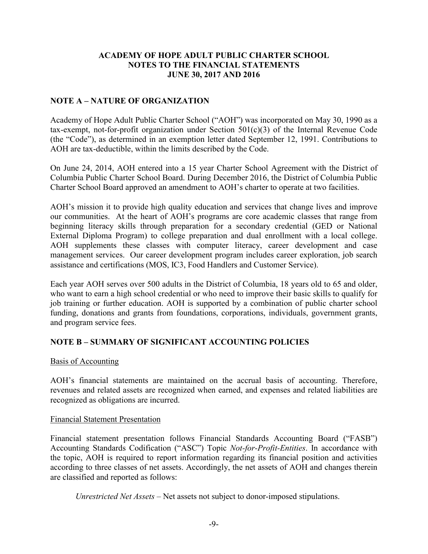# **NOTE A – NATURE OF ORGANIZATION**

Academy of Hope Adult Public Charter School ("AOH") was incorporated on May 30, 1990 as a tax-exempt, not-for-profit organization under Section 501(c)(3) of the Internal Revenue Code (the "Code"), as determined in an exemption letter dated September 12, 1991. Contributions to AOH are tax-deductible, within the limits described by the Code.

On June 24, 2014, AOH entered into a 15 year Charter School Agreement with the District of Columbia Public Charter School Board. During December 2016, the District of Columbia Public Charter School Board approved an amendment to AOH's charter to operate at two facilities.

AOH's mission it to provide high quality education and services that change lives and improve our communities. At the heart of AOH's programs are core academic classes that range from beginning literacy skills through preparation for a secondary credential (GED or National External Diploma Program) to college preparation and dual enrollment with a local college. AOH supplements these classes with computer literacy, career development and case management services. Our career development program includes career exploration, job search assistance and certifications (MOS, IC3, Food Handlers and Customer Service).

Each year AOH serves over 500 adults in the District of Columbia, 18 years old to 65 and older, who want to earn a high school credential or who need to improve their basic skills to qualify for job training or further education. AOH is supported by a combination of public charter school funding, donations and grants from foundations, corporations, individuals, government grants, and program service fees.

## **NOTE B – SUMMARY OF SIGNIFICANT ACCOUNTING POLICIES**

### Basis of Accounting

AOH's financial statements are maintained on the accrual basis of accounting. Therefore, revenues and related assets are recognized when earned, and expenses and related liabilities are recognized as obligations are incurred.

### Financial Statement Presentation

Financial statement presentation follows Financial Standards Accounting Board ("FASB") Accounting Standards Codification ("ASC") Topic *Not-for-Profit-Entities*. In accordance with the topic, AOH is required to report information regarding its financial position and activities according to three classes of net assets. Accordingly, the net assets of AOH and changes therein are classified and reported as follows:

*Unrestricted Net Assets* – Net assets not subject to donor-imposed stipulations.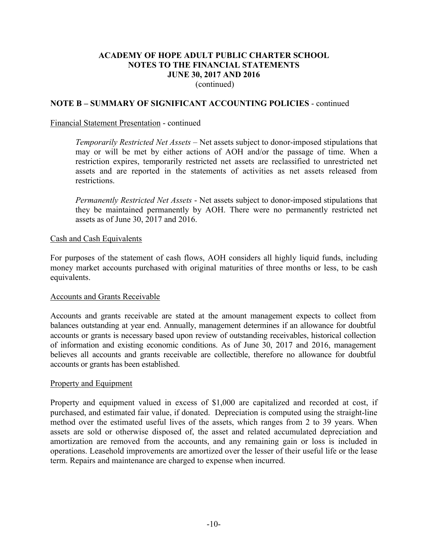### **NOTE B – SUMMARY OF SIGNIFICANT ACCOUNTING POLICIES** - continued

#### Financial Statement Presentation - continued

*Temporarily Restricted Net Assets* – Net assets subject to donor-imposed stipulations that may or will be met by either actions of AOH and/or the passage of time. When a restriction expires, temporarily restricted net assets are reclassified to unrestricted net assets and are reported in the statements of activities as net assets released from restrictions.

*Permanently Restricted Net Assets* - Net assets subject to donor-imposed stipulations that they be maintained permanently by AOH. There were no permanently restricted net assets as of June 30, 2017 and 2016.

#### Cash and Cash Equivalents

For purposes of the statement of cash flows, AOH considers all highly liquid funds, including money market accounts purchased with original maturities of three months or less, to be cash equivalents.

#### Accounts and Grants Receivable

Accounts and grants receivable are stated at the amount management expects to collect from balances outstanding at year end. Annually, management determines if an allowance for doubtful accounts or grants is necessary based upon review of outstanding receivables, historical collection of information and existing economic conditions. As of June 30, 2017 and 2016, management believes all accounts and grants receivable are collectible, therefore no allowance for doubtful accounts or grants has been established.

#### Property and Equipment

Property and equipment valued in excess of \$1,000 are capitalized and recorded at cost, if purchased, and estimated fair value, if donated. Depreciation is computed using the straight-line method over the estimated useful lives of the assets, which ranges from 2 to 39 years. When assets are sold or otherwise disposed of, the asset and related accumulated depreciation and amortization are removed from the accounts, and any remaining gain or loss is included in operations. Leasehold improvements are amortized over the lesser of their useful life or the lease term. Repairs and maintenance are charged to expense when incurred.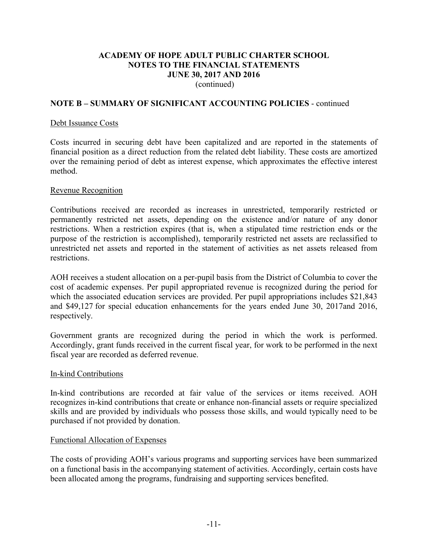### **NOTE B – SUMMARY OF SIGNIFICANT ACCOUNTING POLICIES** - continued

#### Debt Issuance Costs

Costs incurred in securing debt have been capitalized and are reported in the statements of financial position as a direct reduction from the related debt liability. These costs are amortized over the remaining period of debt as interest expense, which approximates the effective interest method.

#### Revenue Recognition

Contributions received are recorded as increases in unrestricted, temporarily restricted or permanently restricted net assets, depending on the existence and/or nature of any donor restrictions. When a restriction expires (that is, when a stipulated time restriction ends or the purpose of the restriction is accomplished), temporarily restricted net assets are reclassified to unrestricted net assets and reported in the statement of activities as net assets released from restrictions.

AOH receives a student allocation on a per-pupil basis from the District of Columbia to cover the cost of academic expenses. Per pupil appropriated revenue is recognized during the period for which the associated education services are provided. Per pupil appropriations includes \$21,843 and \$49,127 for special education enhancements for the years ended June 30, 2017and 2016, respectively.

Government grants are recognized during the period in which the work is performed. Accordingly, grant funds received in the current fiscal year, for work to be performed in the next fiscal year are recorded as deferred revenue.

#### In-kind Contributions

In-kind contributions are recorded at fair value of the services or items received. AOH recognizes in-kind contributions that create or enhance non-financial assets or require specialized skills and are provided by individuals who possess those skills, and would typically need to be purchased if not provided by donation.

#### Functional Allocation of Expenses

The costs of providing AOH's various programs and supporting services have been summarized on a functional basis in the accompanying statement of activities. Accordingly, certain costs have been allocated among the programs, fundraising and supporting services benefited.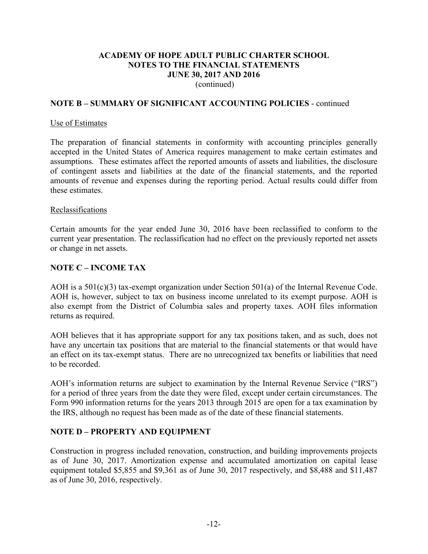### **NOTE B – SUMMARY OF SIGNIFICANT ACCOUNTING POLICIES** - continued

### Use of Estimates

The preparation of financial statements in conformity with accounting principles generally accepted in the United States of America requires management to make certain estimates and assumptions. These estimates affect the reported amounts of assets and liabilities, the disclosure of contingent assets and liabilities at the date of the financial statements, and the reported amounts of revenue and expenses during the reporting period. Actual results could differ from these estimates.

#### **Reclassifications**

Certain amounts for the year ended June 30, 2016 have been reclassified to conform to the current year presentation. The reclassification had no effect on the previously reported net assets or change in net assets.

### **NOTE C – INCOME TAX**

AOH is a 501(c)(3) tax-exempt organization under Section 501(a) of the Internal Revenue Code. AOH is, however, subject to tax on business income unrelated to its exempt purpose. AOH is also exempt from the District of Columbia sales and property taxes. AOH files information returns as required.

AOH believes that it has appropriate support for any tax positions taken, and as such, does not have any uncertain tax positions that are material to the financial statements or that would have an effect on its tax-exempt status. There are no unrecognized tax benefits or liabilities that need to be recorded.

AOH's information returns are subject to examination by the Internal Revenue Service ("IRS") for a period of three years from the date they were filed, except under certain circumstances. The Form 990 information returns for the years 2013 through 2015 are open for a tax examination by the IRS, although no request has been made as of the date of these financial statements.

### **NOTE D – PROPERTY AND EQUIPMENT**

Construction in progress included renovation, construction, and building improvements projects as of June 30, 2017. Amortization expense and accumulated amortization on capital lease equipment totaled \$5,855 and \$9,361 as of June 30, 2017 respectively, and \$8,488 and \$11,487 as of June 30, 2016, respectively.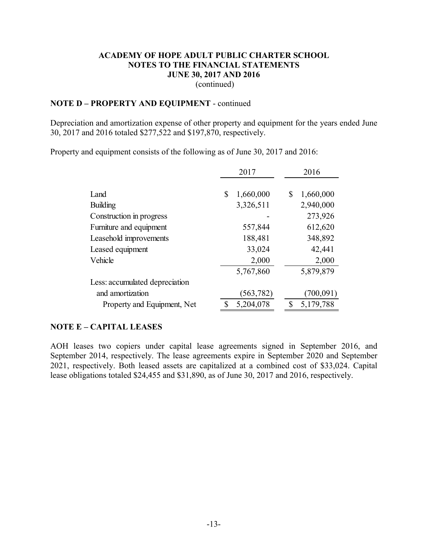### **NOTE D – PROPERTY AND EQUIPMENT** - continued

Depreciation and amortization expense of other property and equipment for the years ended June 30, 2017 and 2016 totaled \$277,522 and \$197,870, respectively.

Property and equipment consists of the following as of June 30, 2017 and 2016:

|                                | 2017            | 2016           |
|--------------------------------|-----------------|----------------|
|                                |                 |                |
| Land                           | 1,660,000<br>\$ | 1,660,000<br>S |
| <b>Building</b>                | 3,326,511       | 2,940,000      |
| Construction in progress       |                 | 273,926        |
| Furniture and equipment        | 557,844         | 612,620        |
| Leasehold improvements         | 188,481         | 348,892        |
| Leased equipment               | 33,024          | 42,441         |
| Vehicle                        | 2,000           | 2,000          |
|                                | 5,767,860       | 5,879,879      |
| Less: accumulated depreciation |                 |                |
| and amortization               | (563, 782)      | (700,091)      |
| Property and Equipment, Net    | 5,204,078       | 5,179,788      |

### **NOTE E – CAPITAL LEASES**

AOH leases two copiers under capital lease agreements signed in September 2016, and September 2014, respectively. The lease agreements expire in September 2020 and September 2021, respectively. Both leased assets are capitalized at a combined cost of \$33,024. Capital lease obligations totaled \$24,455 and \$31,890, as of June 30, 2017 and 2016, respectively.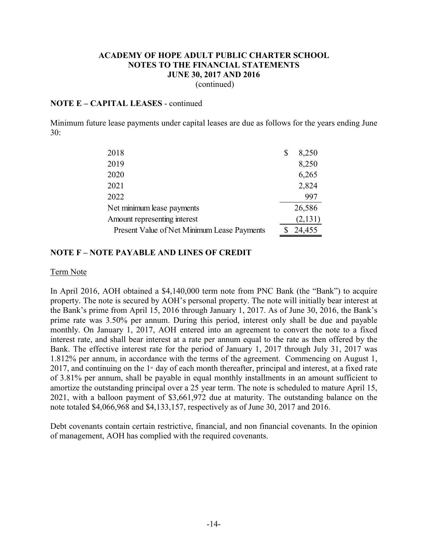#### **NOTE E – CAPITAL LEASES** - continued

Minimum future lease payments under capital leases are due as follows for the years ending June 30:

| 2018                                        | \$<br>8,250 |
|---------------------------------------------|-------------|
| 2019                                        | 8,250       |
| 2020                                        | 6,265       |
| 2021                                        | 2,824       |
| 2022                                        | 997         |
| Net minimum lease payments                  | 26,586      |
| Amount representing interest                | (2, 131)    |
| Present Value of Net Minimum Lease Payments | 24,455      |

#### **NOTE F – NOTE PAYABLE AND LINES OF CREDIT**

#### Term Note

In April 2016, AOH obtained a \$4,140,000 term note from PNC Bank (the "Bank") to acquire property. The note is secured by AOH's personal property. The note will initially bear interest at the Bank's prime from April 15, 2016 through January 1, 2017. As of June 30, 2016, the Bank's prime rate was 3.50% per annum. During this period, interest only shall be due and payable monthly. On January 1, 2017, AOH entered into an agreement to convert the note to a fixed interest rate, and shall bear interest at a rate per annum equal to the rate as then offered by the Bank. The effective interest rate for the period of January 1, 2017 through July 31, 2017 was 1.812% per annum, in accordance with the terms of the agreement. Commencing on August 1,  $2017$ , and continuing on the  $1<sup>*</sup>$  day of each month thereafter, principal and interest, at a fixed rate of 3.81% per annum, shall be payable in equal monthly installments in an amount sufficient to amortize the outstanding principal over a 25 year term. The note is scheduled to mature April 15, 2021, with a balloon payment of \$3,661,972 due at maturity. The outstanding balance on the note totaled \$4,066,968 and \$4,133,157, respectively as of June 30, 2017 and 2016.

Debt covenants contain certain restrictive, financial, and non financial covenants. In the opinion of management, AOH has complied with the required covenants.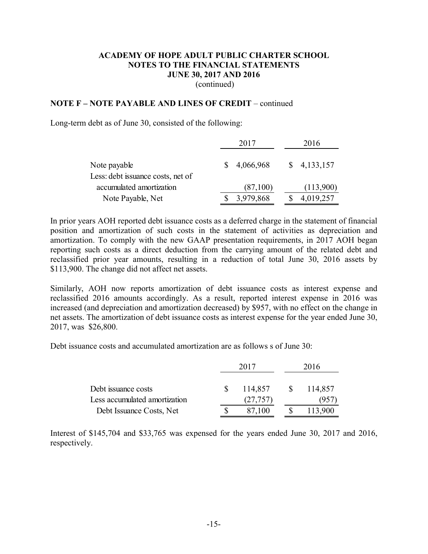### **NOTE F – NOTE PAYABLE AND LINES OF CREDIT** – continued

Long-term debt as of June 30, consisted of the following:

|                                   | 2017      | 2016        |
|-----------------------------------|-----------|-------------|
| Note payable                      | 4,066,968 | \$4,133,157 |
| Less: debt issuance costs, net of |           |             |
| accumulated amortization          | (87,100)  | (113,900)   |
| Note Payable, Net                 | 3,979,868 | 4,019,257   |

In prior years AOH reported debt issuance costs as a deferred charge in the statement of financial position and amortization of such costs in the statement of activities as depreciation and amortization. To comply with the new GAAP presentation requirements, in 2017 AOH began reporting such costs as a direct deduction from the carrying amount of the related debt and reclassified prior year amounts, resulting in a reduction of total June 30, 2016 assets by \$113,900. The change did not affect net assets.

Similarly, AOH now reports amortization of debt issuance costs as interest expense and reclassified 2016 amounts accordingly. As a result, reported interest expense in 2016 was increased (and depreciation and amortization decreased) by \$957, with no effect on the change in net assets. The amortization of debt issuance costs as interest expense for the year ended June 30, 2017, was \$26,800.

Debt issuance costs and accumulated amortization are as follows s of June 30:

|                               | 2017 |           | 2016    |
|-------------------------------|------|-----------|---------|
|                               |      |           |         |
| Debt issuance costs           |      | 114,857   | 114,857 |
| Less accumulated amortization |      | (27, 757) |         |
| Debt Issuance Costs, Net      |      | 87.100    | 113,900 |

Interest of \$145,704 and \$33,765 was expensed for the years ended June 30, 2017 and 2016, respectively.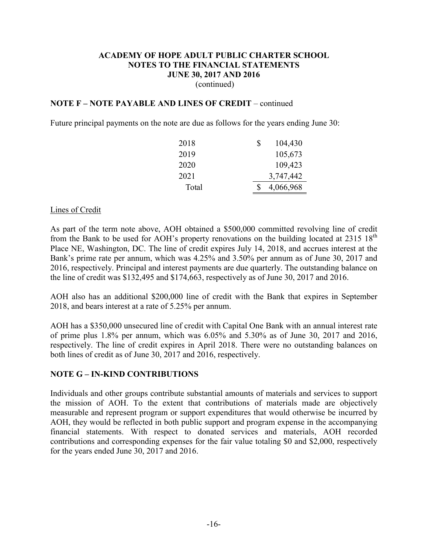### **NOTE F – NOTE PAYABLE AND LINES OF CREDIT** – continued

Future principal payments on the note are due as follows for the years ending June 30:

| 2018  | S | 104,430   |
|-------|---|-----------|
| 2019  |   | 105,673   |
| 2020  |   | 109,423   |
| 2021  |   | 3,747,442 |
| Total |   | 4,066,968 |

#### Lines of Credit

As part of the term note above, AOH obtained a \$500,000 committed revolving line of credit from the Bank to be used for AOH's property renovations on the building located at  $2315\,18^{th}$ Place NE, Washington, DC. The line of credit expires July 14, 2018, and accrues interest at the Bank's prime rate per annum, which was 4.25% and 3.50% per annum as of June 30, 2017 and 2016, respectively. Principal and interest payments are due quarterly. The outstanding balance on the line of credit was \$132,495 and \$174,663, respectively as of June 30, 2017 and 2016.

AOH also has an additional \$200,000 line of credit with the Bank that expires in September 2018, and bears interest at a rate of 5.25% per annum.

AOH has a \$350,000 unsecured line of credit with Capital One Bank with an annual interest rate of prime plus 1.8% per annum, which was 6.05% and 5.30% as of June 30, 2017 and 2016, respectively. The line of credit expires in April 2018. There were no outstanding balances on both lines of credit as of June 30, 2017 and 2016, respectively.

### **NOTE G – IN-KIND CONTRIBUTIONS**

Individuals and other groups contribute substantial amounts of materials and services to support the mission of AOH. To the extent that contributions of materials made are objectively measurable and represent program or support expenditures that would otherwise be incurred by AOH, they would be reflected in both public support and program expense in the accompanying financial statements. With respect to donated services and materials, AOH recorded contributions and corresponding expenses for the fair value totaling \$0 and \$2,000, respectively for the years ended June 30, 2017 and 2016.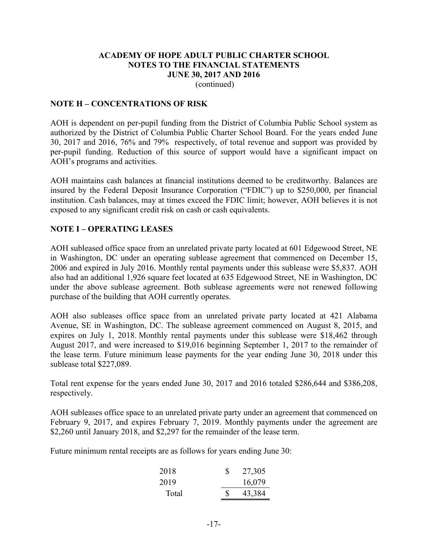### **NOTE H – CONCENTRATIONS OF RISK**

AOH is dependent on per-pupil funding from the District of Columbia Public School system as authorized by the District of Columbia Public Charter School Board. For the years ended June 30, 2017 and 2016, 76% and 79% respectively, of total revenue and support was provided by per-pupil funding. Reduction of this source of support would have a significant impact on AOH's programs and activities.

AOH maintains cash balances at financial institutions deemed to be creditworthy. Balances are insured by the Federal Deposit Insurance Corporation ("FDIC") up to \$250,000, per financial institution. Cash balances, may at times exceed the FDIC limit; however, AOH believes it is not exposed to any significant credit risk on cash or cash equivalents.

#### **NOTE I – OPERATING LEASES**

AOH subleased office space from an unrelated private party located at 601 Edgewood Street, NE in Washington, DC under an operating sublease agreement that commenced on December 15, 2006 and expired in July 2016. Monthly rental payments under this sublease were \$5,837. AOH also had an additional 1,926 square feet located at 635 Edgewood Street, NE in Washington, DC under the above sublease agreement. Both sublease agreements were not renewed following purchase of the building that AOH currently operates.

AOH also subleases office space from an unrelated private party located at 421 Alabama Avenue, SE in Washington, DC. The sublease agreement commenced on August 8, 2015, and expires on July 1, 2018. Monthly rental payments under this sublease were \$18,462 through August 2017, and were increased to \$19,016 beginning September 1, 2017 to the remainder of the lease term. Future minimum lease payments for the year ending June 30, 2018 under this sublease total \$227,089.

Total rent expense for the years ended June 30, 2017 and 2016 totaled \$286,644 and \$386,208, respectively.

AOH subleases office space to an unrelated private party under an agreement that commenced on February 9, 2017, and expires February 7, 2019. Monthly payments under the agreement are \$2,260 until January 2018, and \$2,297 for the remainder of the lease term.

Future minimum rental receipts are as follows for years ending June 30:

| 2018  | <b>S</b> | 27,305 |
|-------|----------|--------|
| 2019  |          | 16,079 |
| Total | S        | 43,384 |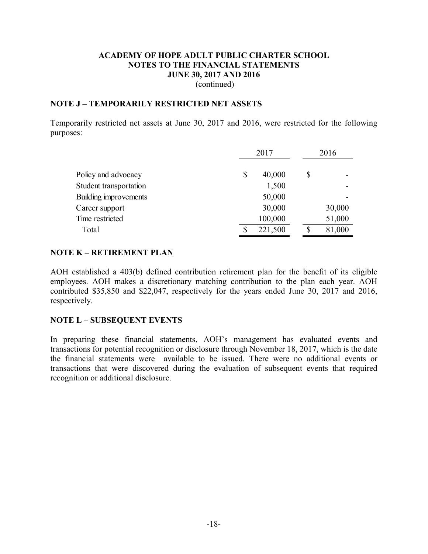#### **NOTE J – TEMPORARILY RESTRICTED NET ASSETS**

Temporarily restricted net assets at June 30, 2017 and 2016, were restricted for the following purposes:

|                        | 2017         |    | 2016   |  |
|------------------------|--------------|----|--------|--|
| Policy and advocacy    | \$<br>40,000 | \$ |        |  |
| Student transportation | 1,500        |    |        |  |
| Building improvements  | 50,000       |    |        |  |
| Career support         | 30,000       |    | 30,000 |  |
| Time restricted        | 100,000      |    | 51,000 |  |
| Total                  | 221,500      |    | 81,000 |  |

### **NOTE K – RETIREMENT PLAN**

AOH established a 403(b) defined contribution retirement plan for the benefit of its eligible employees. AOH makes a discretionary matching contribution to the plan each year. AOH contributed \$35,850 and \$22,047, respectively for the years ended June 30, 2017 and 2016, respectively.

### **NOTE L** – **SUBSEQUENT EVENTS**

In preparing these financial statements, AOH's management has evaluated events and transactions for potential recognition or disclosure through November 18, 2017, which is the date the financial statements were available to be issued. There were no additional events or transactions that were discovered during the evaluation of subsequent events that required recognition or additional disclosure.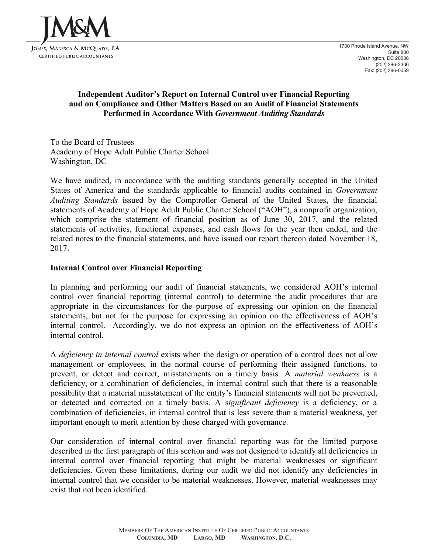

## **Independent Auditor's Report on Internal Control over Financial Reporting and on Compliance and Other Matters Based on an Audit of Financial Statements Performed in Accordance With** *Government Auditing Standards*

To the Board of Trustees Academy of Hope Adult Public Charter School Washington, DC

We have audited, in accordance with the auditing standards generally accepted in the United States of America and the standards applicable to financial audits contained in *Government Auditing Standards* issued by the Comptroller General of the United States, the financial statements of Academy of Hope Adult Public Charter School ("AOH"), a nonprofit organization, which comprise the statement of financial position as of June 30, 2017, and the related statements of activities, functional expenses, and cash flows for the year then ended, and the related notes to the financial statements, and have issued our report thereon dated November 18, 2017.

### **Internal Control over Financial Reporting**

In planning and performing our audit of financial statements, we considered AOH's internal control over financial reporting (internal control) to determine the audit procedures that are appropriate in the circumstances for the purpose of expressing our opinion on the financial statements, but not for the purpose for expressing an opinion on the effectiveness of AOH's internal control. Accordingly, we do not express an opinion on the effectiveness of AOH's internal control.

A *deficiency in internal control* exists when the design or operation of a control does not allow management or employees, in the normal course of performing their assigned functions, to prevent, or detect and correct, misstatements on a timely basis. A *material weakness* is a deficiency, or a combination of deficiencies, in internal control such that there is a reasonable possibility that a material misstatement of the entity's financial statements will not be prevented, or detected and corrected on a timely basis. A s*ignificant deficiency* is a deficiency, or a combination of deficiencies, in internal control that is less severe than a material weakness, yet important enough to merit attention by those charged with governance.

Our consideration of internal control over financial reporting was for the limited purpose described in the first paragraph of this section and was not designed to identify all deficiencies in internal control over financial reporting that might be material weaknesses or significant deficiencies. Given these limitations, during our audit we did not identify any deficiencies in internal control that we consider to be material weaknesses. However, material weaknesses may exist that not been identified.